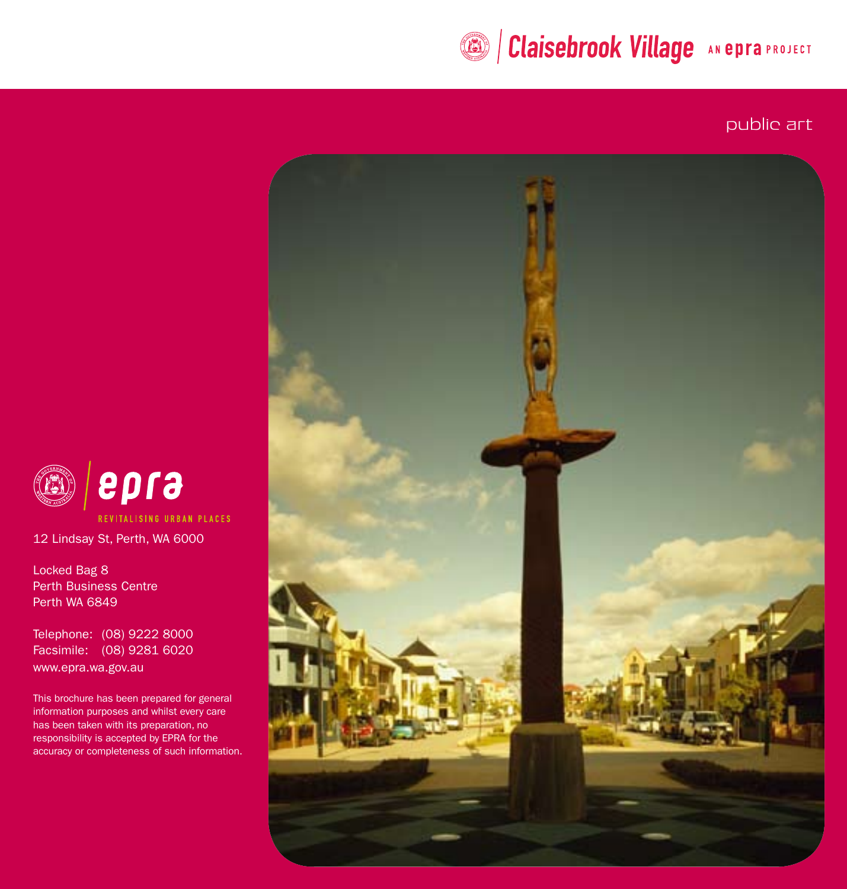# **BIClaisebrook Village AN EDITE:**

public art



epra REVITALISING URBAN PLACES

12 Lindsay St, Perth, WA 6000

Locked Bag 8 Perth Business Centre Perth WA 6849

Telephone: (08) 9222 8000 Facsimile: (08) 9281 6020 www.epra.wa.gov.au

This brochure has been prepared for general information purposes and whilst every care has been taken with its preparation, no responsibility is accepted by EPRA for the accuracy or completeness of such information.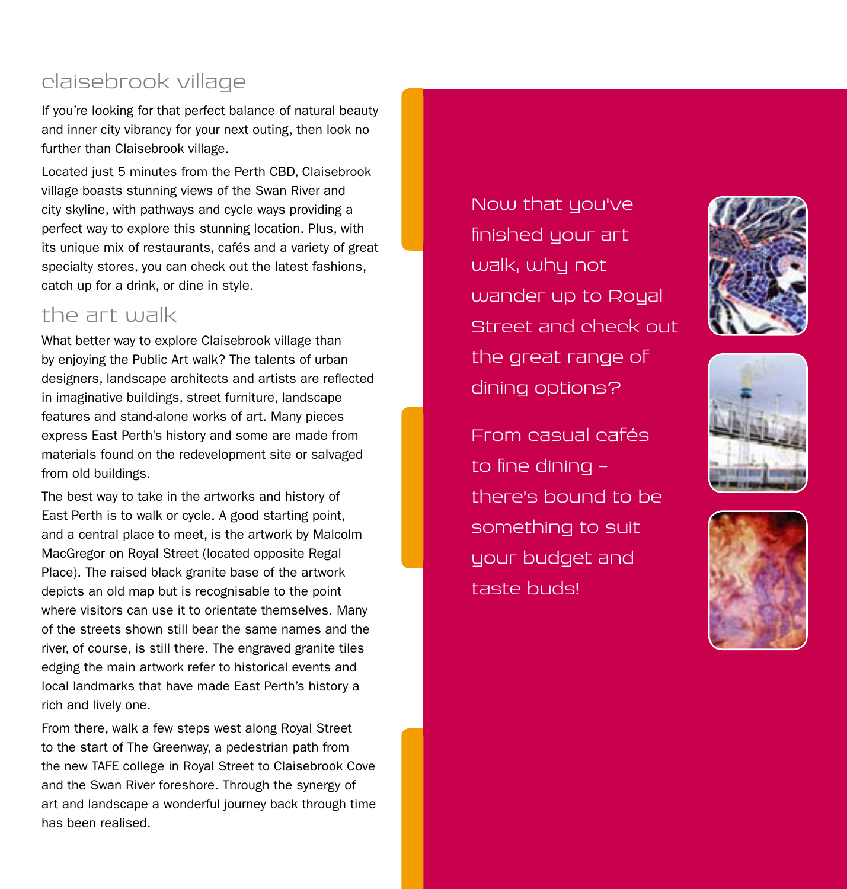# claisebrook village

If you're looking for that perfect balance of natural beauty and inner city vibrancy for your next outing, then look no further than Claisebrook village.

Located just 5 minutes from the Perth CBD, Claisebrook village boasts stunning views of the Swan River and city skyline, with pathways and cycle ways providing a perfect way to explore this stunning location. Plus, with its unique mix of restaurants, cafés and a variety of great specialty stores, you can check out the latest fashions, catch up for a drink, or dine in style.

# the art walk

What better way to explore Claisebrook village than by enjoying the Public Art walk? The talents of urban designers, landscape architects and artists are reflected in imaginative buildings, street furniture, landscape features and stand-alone works of art. Many pieces express East Perth's history and some are made from materials found on the redevelopment site or salvaged from old buildings.

The best way to take in the artworks and history of East Perth is to walk or cycle. A good starting point, and a central place to meet, is the artwork by Malcolm MacGregor on Royal Street (located opposite Regal Place). The raised black granite base of the artwork depicts an old map but is recognisable to the point where visitors can use it to orientate themselves. Many of the streets shown still bear the same names and the river, of course, is still there. The engraved granite tiles edging the main artwork refer to historical events and local landmarks that have made East Perth's history a rich and lively one.

From there, walk a few steps west along Royal Street to the start of The Greenway, a pedestrian path from the new TAFE college in Royal Street to Claisebrook Cove and the Swan River foreshore. Through the synergy of art and landscape a wonderful journey back through time has been realised.

Now that you've finished your art walk, why not wander up to Royal Street and check out the great range of dining options?

From casual cafés to fine dining  $$ there's bound to be something to suit your budget and taste buds!





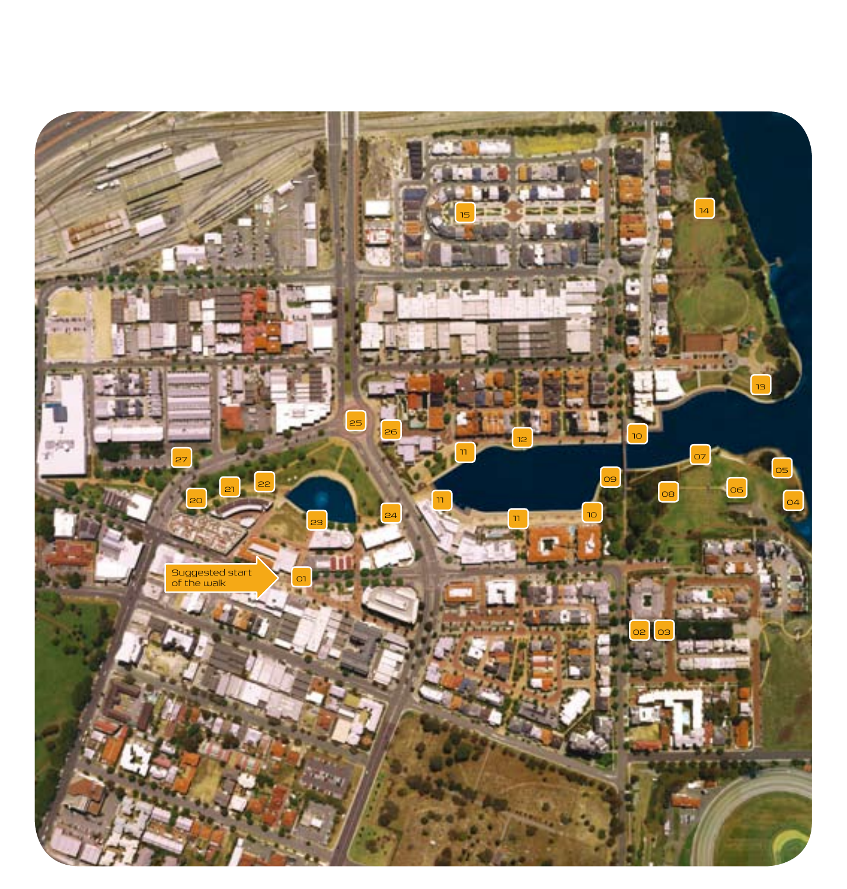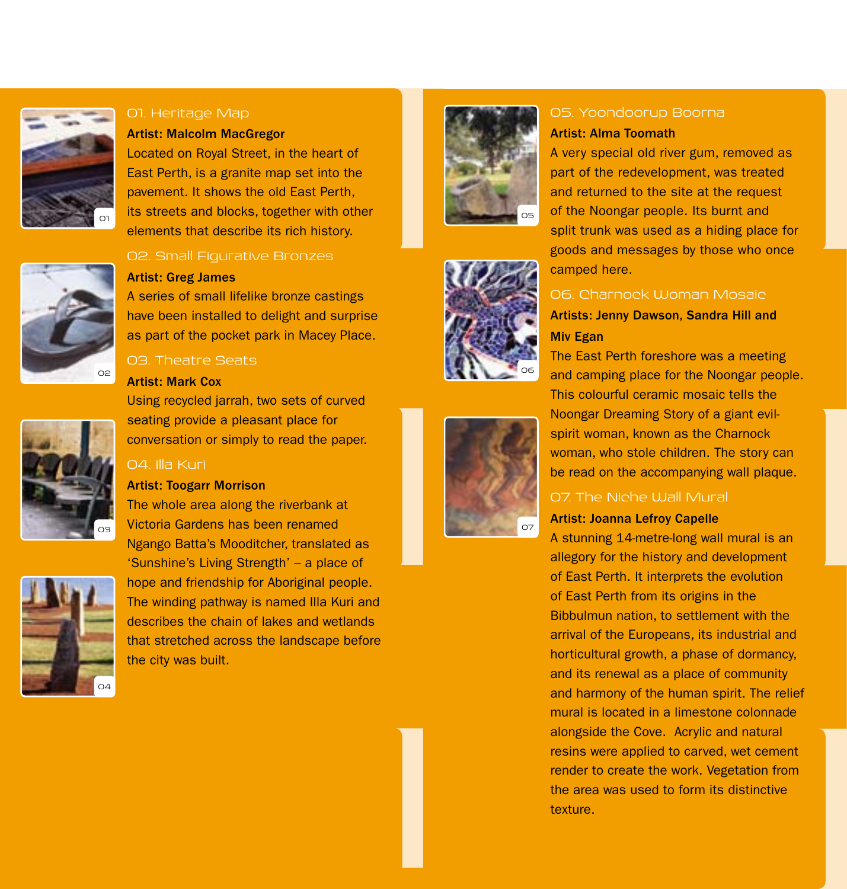

#### 01. Heritage Map

#### Artist: Malcolm MacGregor

Located on Royal Street, in the heart of East Perth, is a granite map set into the pavement. It shows the old East Perth, its streets and blocks, together with other elements that describe its rich history.



#### 02. Small Figurative Bronzes

#### Artist: Greg James

A series of small lifelike bronze castings have been installed to delight and surprise as part of the pocket park in Macey Place.

# 03. Theatre Seats

#### Artist: Mark Cox

Using recycled jarrah, two sets of curved seating provide a pleasant place for conversation or simply to read the paper.

#### 04. Illa Kuri

#### Artist: Toogarr Morrison

The whole area along the riverbank at Victoria Gardens has been renamed Ngango Batta's Mooditcher, translated as 'Sunshine's Living Strength' – a place of hope and friendship for Aboriginal people. The winding pathway is named Illa Kuri and describes the chain of lakes and wetlands that stretched across the landscape before the city was built.







# 05. Yoondoorup Boorna

# Artist: Alma Toomath

A very special old river gum, removed as part of the redevelopment, was treated and returned to the site at the request of the Noongar people. Its burnt and split trunk was used as a hiding place for goods and messages by those who once camped here.

# 06. Charnock Woman Mosaic Artists: Jenny Dawson, Sandra Hill and Miv Egan

The East Perth foreshore was a meeting and camping place for the Noongar people. This colourful ceramic mosaic tells the Noongar Dreaming Story of a giant evilspirit woman, known as the Charnock woman, who stole children. The story can be read on the accompanying wall plaque.

# 07. The Niche Wall Mural

## Artist: Joanna Lefroy Capelle

A stunning 14-metre-long wall mural is an allegory for the history and development of East Perth. It interprets the evolution of East Perth from its origins in the Bibbulmun nation, to settlement with the arrival of the Europeans, its industrial and horticultural growth, a phase of dormancy, and its renewal as a place of community and harmony of the human spirit. The relief mural is located in a limestone colonnade alongside the Cove. Acrylic and natural resins were applied to carved, wet cement render to create the work. Vegetation from the area was used to form its distinctive texture.



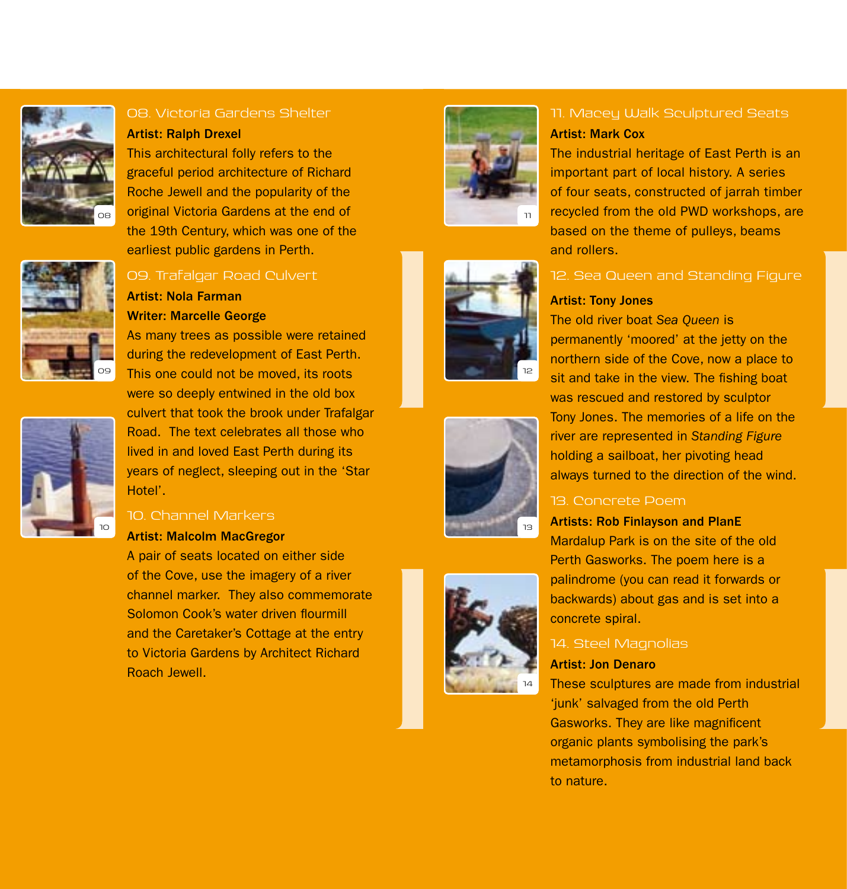



#### Artist: Ralph Drexel

This architectural folly refers to the graceful period architecture of Richard Roche Jewell and the popularity of the original Victoria Gardens at the end of the 19th Century, which was one of the earliest public gardens in Perth.



# 09. Trafalgar Road Culvert

# Artist: Nola Farman Writer: Marcelle George

As many trees as possible were retained during the redevelopment of East Perth. This one could not be moved, its roots



were so deeply entwined in the old box culvert that took the brook under Trafalgar Road. The text celebrates all those who lived in and loved East Perth during its years of neglect, sleeping out in the 'Star Hotel'.

# 10. Channel Markers

# Artist: Malcolm MacGregor

A pair of seats located on either side of the Cove, use the imagery of a river channel marker. They also commemorate Solomon Cook's water driven flourmill and the Caretaker's Cottage at the entry to Victoria Gardens by Architect Richard Roach Jewell.









# 11. Macey Walk Sculptured Seats Artist: Mark Cox

The industrial heritage of East Perth is an important part of local history. A series of four seats, constructed of jarrah timber recycled from the old PWD workshops, are based on the theme of pulleys, beams and rollers.

# 12. Sea Queen and Standing Figure

#### Artist: Tony Jones

The old river boat *Sea Queen* is permanently 'moored' at the jetty on the northern side of the Cove, now a place to sit and take in the view. The fishing boat was rescued and restored by sculptor Tony Jones. The memories of a life on the river are represented in *Standing Figure* holding a sailboat, her pivoting head always turned to the direction of the wind.

# 13. Concrete Poem

# Artists: Rob Finlayson and PlanE

Mardalup Park is on the site of the old Perth Gasworks. The poem here is a palindrome (you can read it forwards or backwards) about gas and is set into a concrete spiral.

# 14. Steel Magnolias

# Artist: Jon Denaro

These sculptures are made from industrial 'junk' salvaged from the old Perth Gasworks. They are like magnificent organic plants symbolising the park's metamorphosis from industrial land back to nature.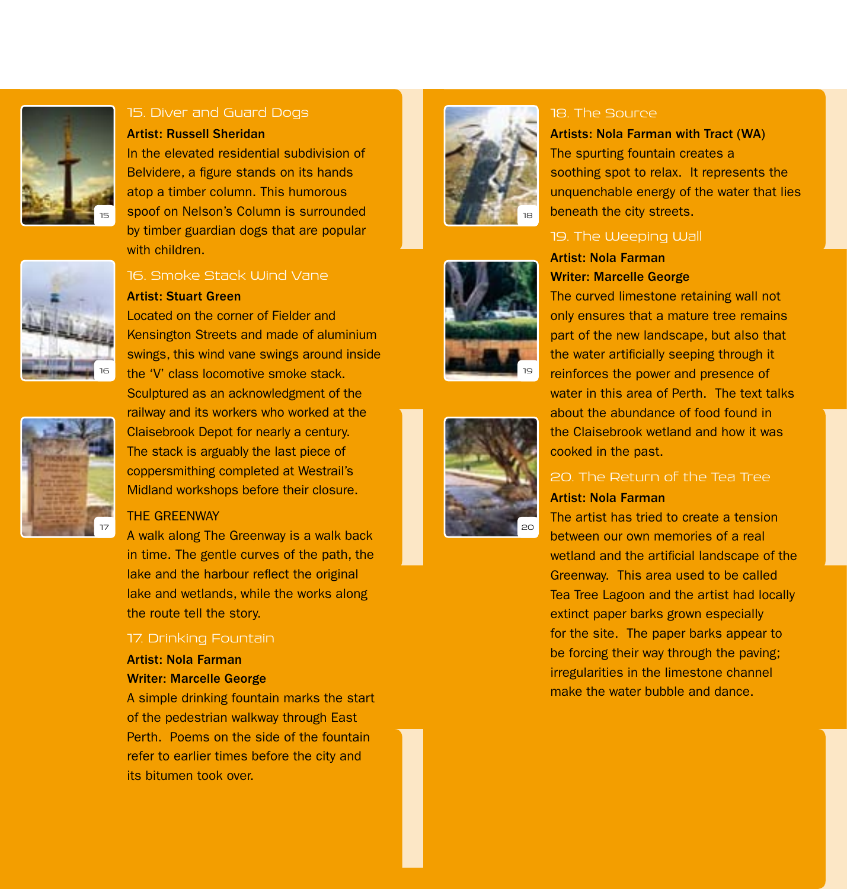



#### Artist: Russell Sheridan

In the elevated residential subdivision of Belvidere, a figure stands on its hands atop a timber column. This humorous spoof on Nelson's Column is surrounded by timber guardian dogs that are popular with children



# 16. Smoke Stack Wind Vane

#### Artist: Stuart Green

Located on the corner of Fielder and Kensington Streets and made of aluminium swings, this wind vane swings around inside the 'V' class locomotive smoke stack. Sculptured as an acknowledgment of the railway and its workers who worked at the Claisebrook Depot for nearly a century. The stack is arguably the last piece of coppersmithing completed at Westrail's

#### THE GREENWAY

17

A walk along The Greenway is a walk back in time. The gentle curves of the path, the lake and the harbour reflect the original lake and wetlands, while the works along the route tell the story.

Midland workshops before their closure.

#### 17. Drinking Fountain

# Artist: Nola Farman Writer: Marcelle George

A simple drinking fountain marks the start of the pedestrian walkway through East Perth. Poems on the side of the fountain refer to earlier times before the city and its bitumen took over.







#### 18. The Source

Artists: Nola Farman with Tract (WA) The spurting fountain creates a soothing spot to relax. It represents the unquenchable energy of the water that lies beneath the city streets.

# 19. The Weeping Wall

# Artist: Nola Farman Writer: Marcelle George

The curved limestone retaining wall not only ensures that a mature tree remains part of the new landscape, but also that the water artificially seeping through it reinforces the power and presence of water in this area of Perth. The text talks about the abundance of food found in the Claisebrook wetland and how it was cooked in the past.

# 20. The Return of the Tea Tree

#### Artist: Nola Farman

The artist has tried to create a tension between our own memories of a real wetland and the artificial landscape of the Greenway. This area used to be called Tea Tree Lagoon and the artist had locally extinct paper barks grown especially for the site. The paper barks appear to be forcing their way through the paving; irregularities in the limestone channel make the water bubble and dance.